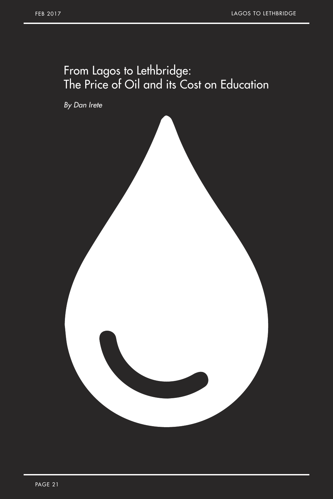## From Lagos to Lethbridge: The Price of Oil and its Cost on Education

*By Dan Irete*